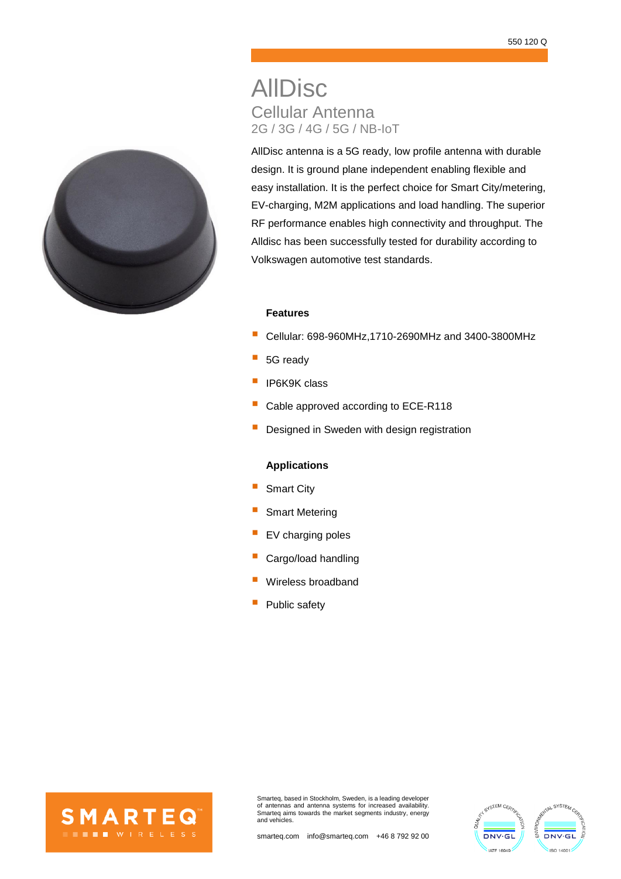# AllDisc Cellular Antenna 2G / 3G / 4G / 5G / NB-IoT

AllDisc antenna is a 5G ready, low profile antenna with durable design. It is ground plane independent enabling flexible and easy installation. It is the perfect choice for Smart City/metering, EV-charging, M2M applications and load handling. The superior RF performance enables high connectivity and throughput. The Alldisc has been successfully tested for durability according to Volkswagen automotive test standards.

## **Features**

- Cellular: 698-960MHz,1710-2690MHz and 3400-3800MHz
- 5G ready
- IP6K9K class
- Cable approved according to ECE-R118
- Designed in Sweden with design registration

## **Applications**

- Smart City
- Smart Metering
- EV charging poles
- Cargo/load handling
- Wireless broadband
- Public safety



Smarteq, based in Stockholm, Sweden, is a leading developer of antennas and antenna systems for increased availability. Smarteq aims towards the market segments industry, energy and vehicles.



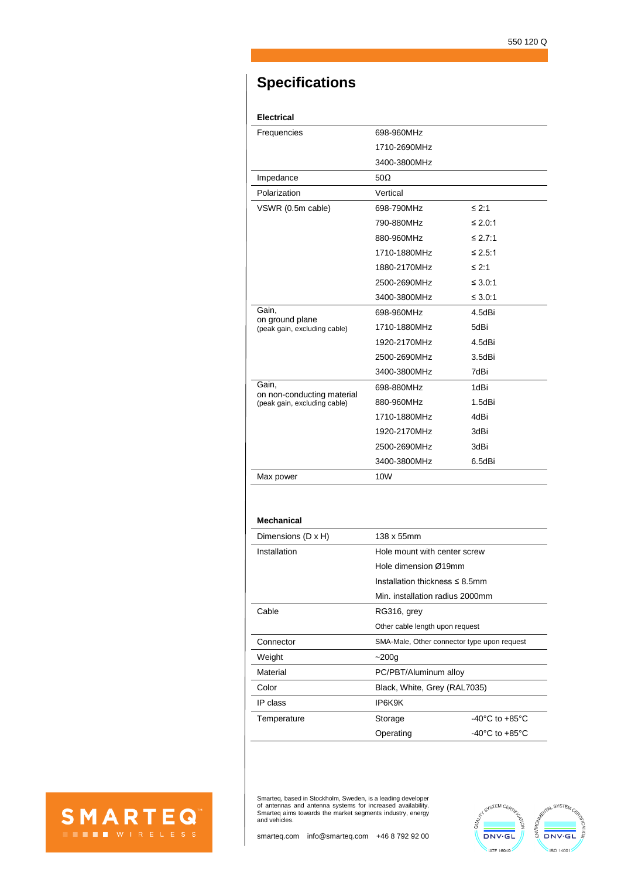## **Specifications**

## **Electrical**

| Frequencies                                     | 698-960MHz   |              |
|-------------------------------------------------|--------------|--------------|
|                                                 | 1710-2690MHz |              |
|                                                 | 3400-3800MHz |              |
| Impedance                                       | $50\Omega$   |              |
| Polarization                                    | Vertical     |              |
| VSWR (0.5m cable)                               | 698-790MHz   | $≤ 2:1$      |
|                                                 | 790-880MHz   | $\leq 2.0:1$ |
|                                                 | 880-960MHz   | ≤ 2.7:1      |
|                                                 | 1710-1880MHz | ≤ 2.5:1      |
|                                                 | 1880-2170MHz | $≤ 2:1$      |
|                                                 | 2500-2690MHz | $\leq 3.0:1$ |
|                                                 | 3400-3800MHz | $\leq 3.0.1$ |
| Gain,                                           | 698-960MHz   | 4.5dBi       |
| on ground plane<br>(peak gain, excluding cable) | 1710-1880MHz | 5dBi         |
|                                                 | 1920-2170MHz | 4.5dBi       |
|                                                 | 2500-2690MHz | 3.5dBi       |
|                                                 | 3400-3800MHz | 7dBi         |
| Gain.<br>on non-conducting material             | 698-880MHz   | 1dBi         |
| (peak gain, excluding cable)                    | 880-960MHz   | 1.5dBi       |
|                                                 | 1710-1880MHz | 4dBi         |
|                                                 | 1920-2170MHz | 3dBi         |
|                                                 | 2500-2690MHz | 3dBi         |
|                                                 | 3400-3800MHz | 6.5dBi       |
| Max power                                       | 10W          |              |

#### **Mechanical**

SMARTEQ

| Dimensions (D x H) | 138 x 55mm                                  |                                    |  |
|--------------------|---------------------------------------------|------------------------------------|--|
| Installation       | Hole mount with center screw                |                                    |  |
|                    | Hole dimension Ø19mm                        |                                    |  |
|                    | Installation thickness $\leq 8.5$ mm        |                                    |  |
|                    | Min. installation radius 2000mm             |                                    |  |
| Cable              | RG316, grey                                 |                                    |  |
|                    | Other cable length upon request             |                                    |  |
| Connector          | SMA-Male, Other connector type upon request |                                    |  |
| Weight             | $-200q$                                     |                                    |  |
| Material           | PC/PBT/Aluminum alloy                       |                                    |  |
| Color              | Black, White, Grey (RAL7035)                |                                    |  |
| IP class           | IP6K9K                                      |                                    |  |
| Temperature        | Storage                                     | $-40^{\circ}$ C to $+85^{\circ}$ C |  |
|                    | Operating                                   | $-40^{\circ}$ C to $+85^{\circ}$ C |  |

Smarteq, based in Stockholm, Sweden, is a leading developer of antennas and antenna systems for increased availability. Smarteq aims towards the market segments industry, energy and vehicles.